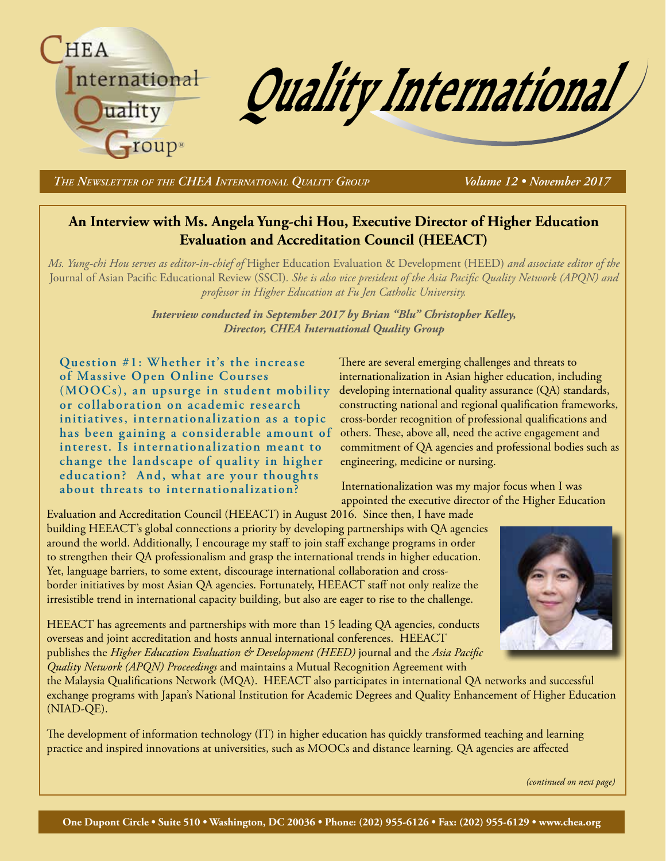

*The Newsletter of the CHEA International Quality Group Volume 12 • November 2017*

### **An Interview with Ms. Angela Yung-chi Hou, Executive Director of Higher Education Evaluation and Accreditation Council (HEEACT)**

*Ms. Yung-chi Hou serves as editor-in-chief of* Higher Education Evaluation & Development (HEED) *and associate editor of the*  Journal of Asian Pacific Educational Review (SSCI)*. She is also vice president of the Asia Pacific Quality Network (APQN) and professor in Higher Education at Fu Jen Catholic University.*

> *Interview conducted in September 2017 by Brian "Blu" Christopher Kelley, Director, CHEA International Quality Group*

**Question #1: Whether it's the increase of Massive Open Online Courses (MOOCs), an upsurge in student mobility or collaboration on academic research initiatives, internationalization as a topic has been gaining a considerable amount of interest. Is internationalization meant to change the landscape of quality in higher education? And, what are your thoughts about threats to internationalization?**

There are several emerging challenges and threats to internationalization in Asian higher education, including developing international quality assurance (QA) standards, constructing national and regional qualification frameworks, cross-border recognition of professional qualifications and others. These, above all, need the active engagement and commitment of QA agencies and professional bodies such as engineering, medicine or nursing.

Internationalization was my major focus when I was appointed the executive director of the Higher Education

Evaluation and Accreditation Council (HEEACT) in August 2016. Since then, I have made building HEEACT's global connections a priority by developing partnerships with QA agencies around the world. Additionally, I encourage my staff to join staff exchange programs in order to strengthen their QA professionalism and grasp the international trends in higher education. Yet, language barriers, to some extent, discourage international collaboration and crossborder initiatives by most Asian QA agencies. Fortunately, HEEACT staff not only realize the irresistible trend in international capacity building, but also are eager to rise to the challenge.



HEEACT has agreements and partnerships with more than 15 leading QA agencies, conducts overseas and joint accreditation and hosts annual international conferences. HEEACT publishes the *Higher Education Evaluation & Development (HEED)* journal and the *Asia Pacific Quality Network (APQN) Proceedings* and maintains a Mutual Recognition Agreement with

the Malaysia Qualifications Network (MQA). HEEACT also participates in international QA networks and successful exchange programs with Japan's National Institution for Academic Degrees and Quality Enhancement of Higher Education (NIAD-QE).

The development of information technology (IT) in higher education has quickly transformed teaching and learning practice and inspired innovations at universities, such as MOOCs and distance learning. QA agencies are affected

*(continued on next page)*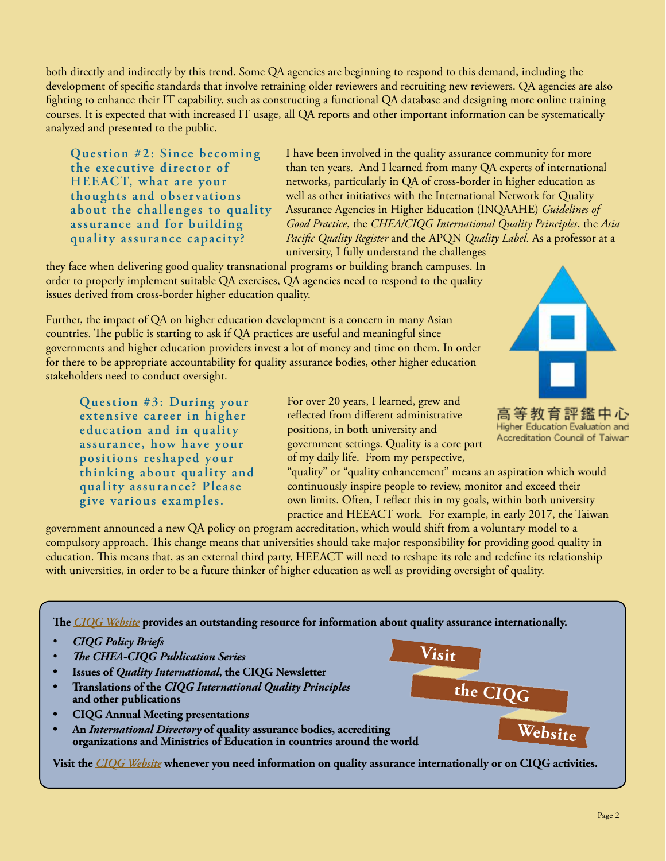both directly and indirectly by this trend. Some QA agencies are beginning to respond to this demand, including the development of specific standards that involve retraining older reviewers and recruiting new reviewers. QA agencies are also fighting to enhance their IT capability, such as constructing a functional QA database and designing more online training courses. It is expected that with increased IT usage, all QA reports and other important information can be systematically analyzed and presented to the public.

**Question #2: Since becoming the executive director of HEEACT, what are your thoughts and obser vations about the challenges to quality assurance and for building quality assurance capacity?** 

I have been involved in the quality assurance community for more than ten years. And I learned from many QA experts of international networks, particularly in QA of cross-border in higher education as well as other initiatives with the International Network for Quality Assurance Agencies in Higher Education (INQAAHE) *Guidelines of Good Practice*, the *CHEA/CIQG International Quality Principles*, the *Asia Pacific Quality Register* and the APQN *Quality Label*. As a professor at a university, I fully understand the challenges

they face when delivering good quality transnational programs or building branch campuses. In order to properly implement suitable QA exercises, QA agencies need to respond to the quality issues derived from cross-border higher education quality.

Further, the impact of QA on higher education development is a concern in many Asian countries. The public is starting to ask if QA practices are useful and meaningful since governments and higher education providers invest a lot of money and time on them. In order for there to be appropriate accountability for quality assurance bodies, other higher education stakeholders need to conduct oversight.

**Question #3: During your extensive career in higher education and in quality assurance, how have your positions reshaped your thinking about quality and quality assurance? Please give various examples.** 

For over 20 years, I learned, grew and reflected from different administrative positions, in both university and government settings. Quality is a core part of my daily life. From my perspective,



高等教育評鑑中心 Higher Education Evaluation and Accreditation Council of Taiwan

**Website**

"quality" or "quality enhancement" means an aspiration which would continuously inspire people to review, monitor and exceed their own limits. Often, I reflect this in my goals, within both university practice and HEEACT work. For example, in early 2017, the Taiwan

**Visit**

**the CIQG**

government announced a new QA policy on program accreditation, which would shift from a voluntary model to a compulsory approach. This change means that universities should take major responsibility for providing good quality in education. This means that, as an external third party, HEEACT will need to reshape its role and redefine its relationship with universities, in order to be a future thinker of higher education as well as providing oversight of quality.

**The** *[CIQG Website](http://bit.ly/CIQGhome)* **provides an outstanding resource for information about quality assurance internationally.** 

- **CIQG Policy Briefs**
- **The CHEA-CIQG Publication Series**
- **Issues of Quality International, the CIQG Newsletter**
- **• Translations of the** *CIQG International Quality Principles* **and other publications**
- **• CIQG Annual Meeting presentations**
- **• An** *International Directory* **of quality assurance bodies, accrediting organizations and Ministries of Education in countries around the world**

**Visit the** *[CIQG Website](http://bit.ly/CIQGhome)* **whenever you need information on quality assurance internationally or on CIQG activities.**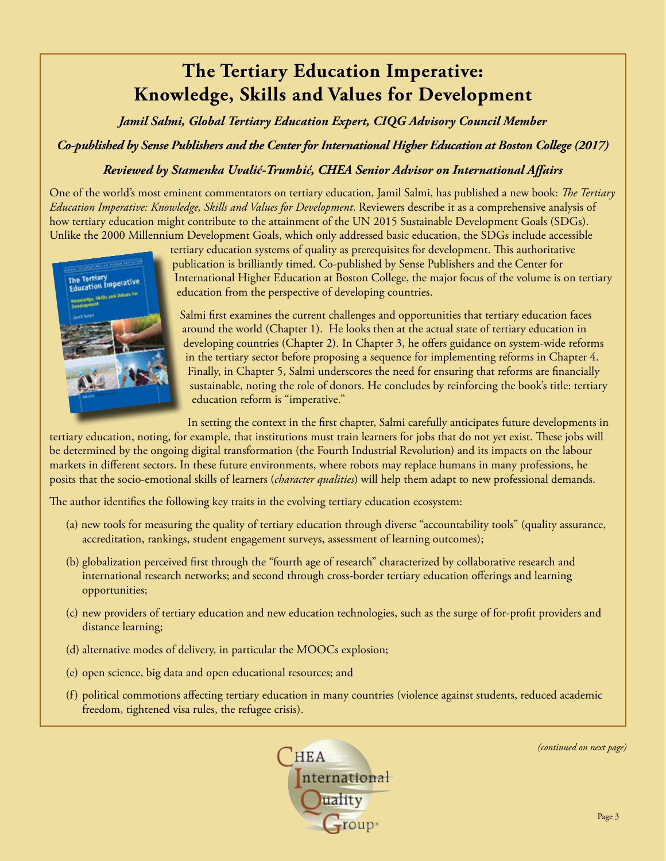# **The Tertiary Education Imperative: Knowledge, Skills and Values for Development**

*Jamil Salmi, Global Tertiary Education Expert, CIQG Advisory Council Member*

*Co-published by Sense Publishers and the Center for International Higher Education at Boston College (2017)*

### *Reviewed by Stamenka Uvalić-Trumbić, CHEA Senior Advisor on International Affairs*

One of the world's most eminent commentators on tertiary education, Jamil Salmi, has published a new book: *The Tertiary Education Imperative: Knowledge, Skills and Values for Development*. Reviewers describe it as a comprehensive analysis of how tertiary education might contribute to the attainment of the UN 2015 Sustainable Development Goals (SDGs). Unlike the 2000 Millennium Development Goals, which only addressed basic education, the SDGs include accessible



tertiary education systems of quality as prerequisites for development. This authoritative publication is brilliantly timed. Co-published by Sense Publishers and the Center for International Higher Education at Boston College, the major focus of the volume is on tertiary education from the perspective of developing countries.

Salmi first examines the current challenges and opportunities that tertiary education faces around the world (Chapter 1). He looks then at the actual state of tertiary education in developing countries (Chapter 2). In Chapter 3, he offers guidance on system-wide reforms in the tertiary sector before proposing a sequence for implementing reforms in Chapter 4. Finally, in Chapter 5, Salmi underscores the need for ensuring that reforms are financially sustainable, noting the role of donors. He concludes by reinforcing the book's title: tertiary education reform is "imperative."

In setting the context in the first chapter, Salmi carefully anticipates future developments in

tertiary education, noting, for example, that institutions must train learners for jobs that do not yet exist. These jobs will be determined by the ongoing digital transformation (the Fourth Industrial Revolution) and its impacts on the labour markets in different sectors. In these future environments, where robots may replace humans in many professions, he posits that the socio-emotional skills of learners (*character qualities*) will help them adapt to new professional demands.

The author identifies the following key traits in the evolving tertiary education ecosystem:

- (a) new tools for measuring the quality of tertiary education through diverse "accountability tools" (quality assurance, accreditation, rankings, student engagement surveys, assessment of learning outcomes);
- (b) globalization perceived first through the "fourth age of research" characterized by collaborative research and international research networks; and second through cross-border tertiary education offerings and learning opportunities;
- (c) new providers of tertiary education and new education technologies, such as the surge of for-profit providers and distance learning;
- (d) alternative modes of delivery, in particular the MOOCs explosion;
- (e) open science, big data and open educational resources; and
- (f) political commotions affecting tertiary education in many countries (violence against students, reduced academic freedom, tightened visa rules, the refugee crisis).



*(continued on next page)*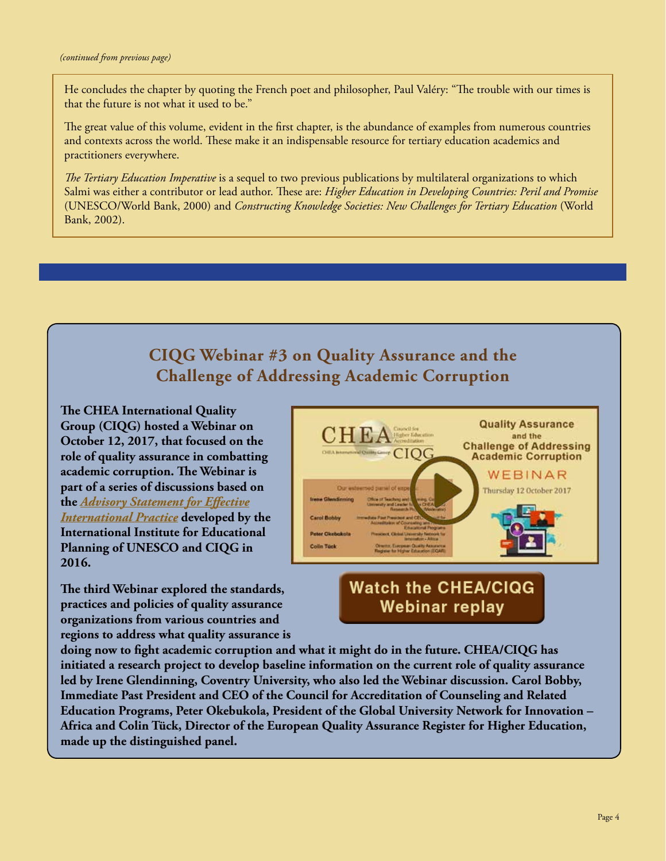He concludes the chapter by quoting the French poet and philosopher, Paul Valéry: "The trouble with our times is that the future is not what it used to be."

The great value of this volume, evident in the first chapter, is the abundance of examples from numerous countries and contexts across the world. These make it an indispensable resource for tertiary education academics and practitioners everywhere.

*The Tertiary Education Imperative* is a sequel to two previous publications by multilateral organizations to which Salmi was either a contributor or lead author. These are: *Higher Education in Developing Countries: Peril and Promise*  (UNESCO/World Bank, 2000) and *Constructing Knowledge Societies: New Challenges for Tertiary Education* (World Bank, 2002).

## **CIQG Webinar #3 on Quality Assurance and the Challenge of Addressing Academic Corruption**

**The CHEA International Quality Group (CIQG) hosted a Webinar on October 12, 2017, that focused on the role of quality assurance in combatting academic corruption. The Webinar is part of a series of discussions based on the** *[Advisory Statement for Effective](http://www.chea.org/userfiles/PDFs/advisory-statement-unesco-iiep.pdf) [International Practice](http://www.chea.org/userfiles/PDFs/advisory-statement-unesco-iiep.pdf)* **developed by the International Institute for Educational Planning of UNESCO and CIQG in 2016.** 

**The third Webinar explored the standards, practices and policies of quality assurance organizations from various countries and regions to address what quality assurance is** 



### **Watch the CHEA/CIQG** Webinar replay

**doing now to fight academic corruption and what it might do in the future. CHEA/CIQG has initiated a research project to develop baseline information on the current role of quality assurance led by Irene Glendinning, Coventry University, who also led the Webinar discussion. Carol Bobby, Immediate Past President and CEO of the Council for Accreditation of Counseling and Related Education Programs, Peter Okebukola, President of the Global University Network for Innovation – Africa and Colin Tück, Director of the European Quality Assurance Register for Higher Education, made up the distinguished panel.**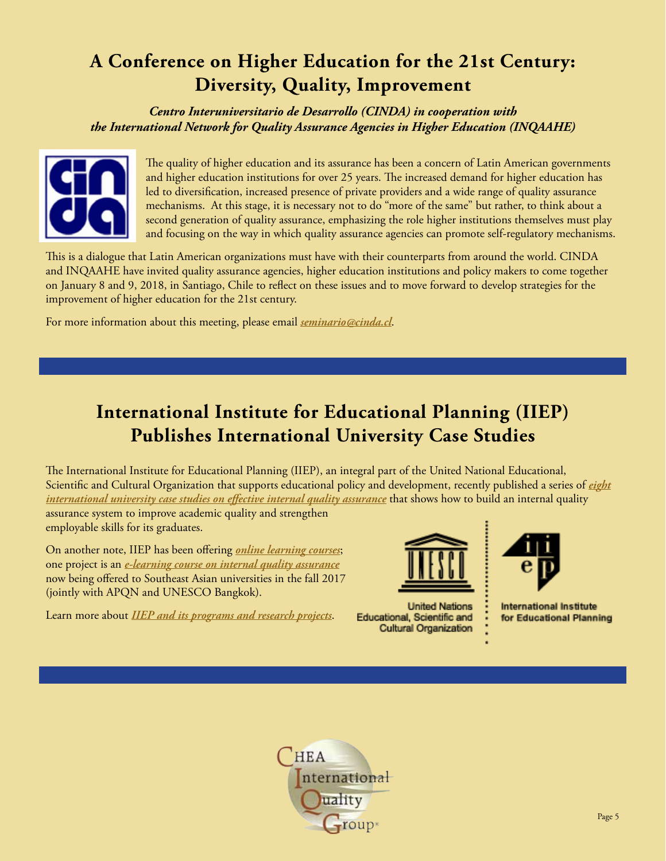# **A Conference on Higher Education for the 21st Century: Diversity, Quality, Improvement**

*Centro Interuniversitario de Desarrollo (CINDA) in cooperation with the International Network for Quality Assurance Agencies in Higher Education (INQAAHE)*



The quality of higher education and its assurance has been a concern of Latin American governments and higher education institutions for over 25 years. The increased demand for higher education has led to diversification, increased presence of private providers and a wide range of quality assurance mechanisms. At this stage, it is necessary not to do "more of the same" but rather, to think about a second generation of quality assurance, emphasizing the role higher institutions themselves must play and focusing on the way in which quality assurance agencies can promote self-regulatory mechanisms.

This is a dialogue that Latin American organizations must have with their counterparts from around the world. CINDA and INQAAHE have invited quality assurance agencies, higher education institutions and policy makers to come together on January 8 and 9, 2018, in Santiago, Chile to reflect on these issues and to move forward to develop strategies for the improvement of higher education for the 21st century.

For more information about this meeting, please email *[seminario@cinda.cl](mailto:seminario%40cinda.cl?subject=Conference%20on%20Higher%20Education%20for%20the%2021st%20Century%20)*.

## **International Institute for Educational Planning (IIEP) Publishes International University Case Studies**

The International Institute for Educational Planning (IIEP), an integral part of the United National Educational, Scientific and Cultural Organization that supports educational policy and development, recently published a series of *[eight](http://www.iiep.unesco.org/en/internal-quality-assurance-eight-universities-share-their-experiences-4002) [international university case studies on effective internal quality assurance](http://www.iiep.unesco.org/en/internal-quality-assurance-eight-universities-share-their-experiences-4002)* that shows how to build an internal quality assurance system to improve academic quality and strengthen employable skills for its graduates.

On another note, IIEP has been offering *[online learning courses](http://www.iiep.unesco.org/en/elearning-239)*; one project is an *[e-learning course on internal quality assurance](http://www.iiep.unesco.org/en/internal-quality-assurance-higher-education-english-3734)* now being offered to Southeast Asian universities in the fall 2017 (jointly with APQN and UNESCO Bangkok).

Learn more about *[IIEP and its programs and research projects](http://www.iiep.unesco.org/en/institute)*.



**United Nations** Educational, Scientific and Cultural Organization



**International Institute** for Educational Planning

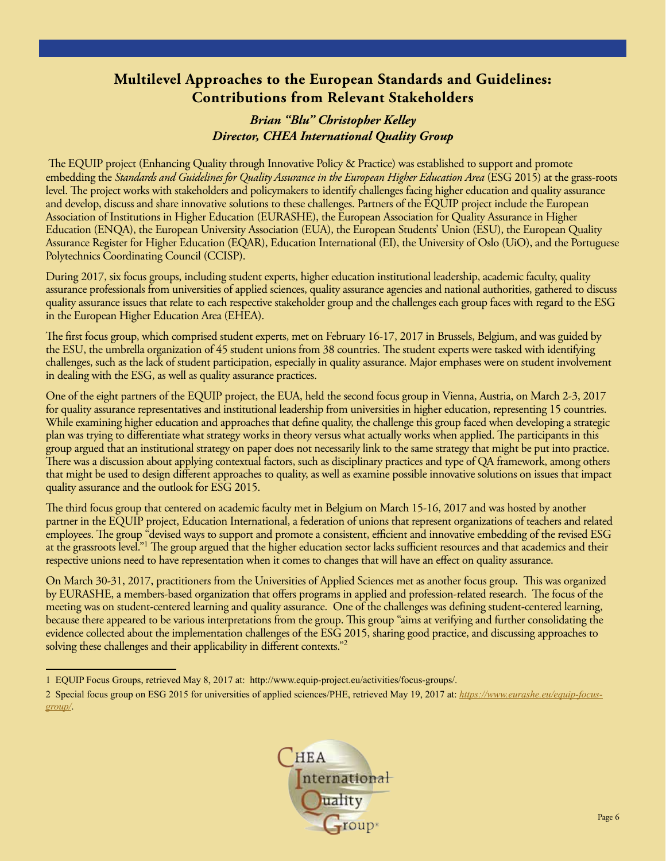### **Multilevel Approaches to the European Standards and Guidelines: Contributions from Relevant Stakeholders**

### *Brian "Blu" Christopher Kelley Director, CHEA International Quality Group*

 The EQUIP project (Enhancing Quality through Innovative Policy & Practice) was established to support and promote embedding the *Standards and Guidelines for Quality Assurance in the European Higher Education Area* (ESG 2015) at the grass-roots level. The project works with stakeholders and policymakers to identify challenges facing higher education and quality assurance and develop, discuss and share innovative solutions to these challenges. Partners of the EQUIP project include the European Association of Institutions in Higher Education (EURASHE), the European Association for Quality Assurance in Higher Education (ENQA), the European University Association (EUA), the European Students' Union (ESU), the European Quality Assurance Register for Higher Education (EQAR), Education International (EI), the University of Oslo (UiO), and the Portuguese Polytechnics Coordinating Council (CCISP).

During 2017, six focus groups, including student experts, higher education institutional leadership, academic faculty, quality assurance professionals from universities of applied sciences, quality assurance agencies and national authorities, gathered to discuss quality assurance issues that relate to each respective stakeholder group and the challenges each group faces with regard to the ESG in the European Higher Education Area (EHEA).

The first focus group, which comprised student experts, met on February 16-17, 2017 in Brussels, Belgium, and was guided by the ESU, the umbrella organization of 45 student unions from 38 countries. The student experts were tasked with identifying challenges, such as the lack of student participation, especially in quality assurance. Major emphases were on student involvement in dealing with the ESG, as well as quality assurance practices.

One of the eight partners of the EQUIP project, the EUA, held the second focus group in Vienna, Austria, on March 2-3, 2017 for quality assurance representatives and institutional leadership from universities in higher education, representing 15 countries. While examining higher education and approaches that define quality, the challenge this group faced when developing a strategic plan was trying to differentiate what strategy works in theory versus what actually works when applied. The participants in this group argued that an institutional strategy on paper does not necessarily link to the same strategy that might be put into practice. There was a discussion about applying contextual factors, such as disciplinary practices and type of QA framework, among others that might be used to design different approaches to quality, as well as examine possible innovative solutions on issues that impact quality assurance and the outlook for ESG 2015.

The third focus group that centered on academic faculty met in Belgium on March 15-16, 2017 and was hosted by another partner in the EQUIP project, Education International, a federation of unions that represent organizations of teachers and related employees. The group "devised ways to support and promote a consistent, efficient and innovative embedding of the revised ESG at the grassroots level."<sup>1</sup> The group argued that the higher education sector lacks sufficient resources and that academics and their respective unions need to have representation when it comes to changes that will have an effect on quality assurance.

On March 30-31, 2017, practitioners from the Universities of Applied Sciences met as another focus group. This was organized by EURASHE, a members-based organization that offers programs in applied and profession-related research. The focus of the meeting was on student-centered learning and quality assurance. One of the challenges was defining student-centered learning, because there appeared to be various interpretations from the group. This group "aims at verifying and further consolidating the evidence collected about the implementation challenges of the ESG 2015, sharing good practice, and discussing approaches to solving these challenges and their applicability in different contexts."<sup>2</sup>

<sup>2</sup> Special focus group on ESG 2015 for universities of applied sciences/PHE, retrieved May 19, 2017 at: *[https://www.eurashe.eu/equip-focus](https://www.eurashe.eu/equip-focus-group/)[group/](https://www.eurashe.eu/equip-focus-group/)*.



<sup>1</sup> EQUIP Focus Groups, retrieved May 8, 2017 at: http://www.equip-project.eu/activities/focus-groups/.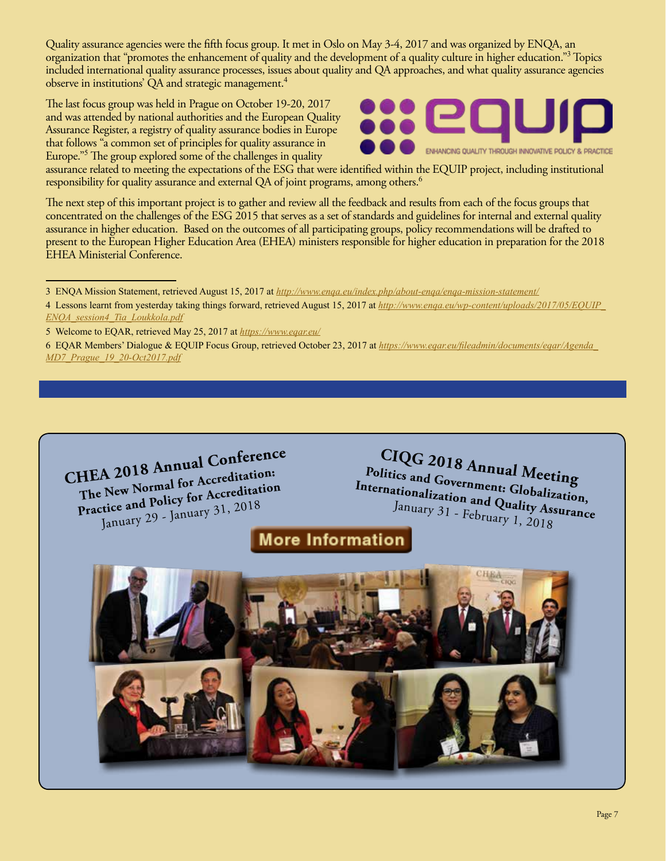Quality assurance agencies were the fifth focus group. It met in Oslo on May 3-4, 2017 and was organized by ENQA, an organization that "promotes the enhancement of quality and the development of a quality culture in higher education."<sup>3</sup> Topics included international quality assurance processes, issues about quality and QA approaches, and what quality assurance agencies observe in institutions' QA and strategic management.<sup>4</sup>

The last focus group was held in Prague on October 19-20, 2017 and was attended by national authorities and the European Quality Assurance Register, a registry of quality assurance bodies in Europe that follows "a common set of principles for quality assurance in Europe."<sup>5</sup> The group explored some of the challenges in quality



assurance related to meeting the expectations of the ESG that were identified within the EQUIP project, including institutional responsibility for quality assurance and external QA of joint programs, among others.<sup>6</sup>

The next step of this important project is to gather and review all the feedback and results from each of the focus groups that concentrated on the challenges of the ESG 2015 that serves as a set of standards and guidelines for internal and external quality assurance in higher education. Based on the outcomes of all participating groups, policy recommendations will be drafted to present to the European Higher Education Area (EHEA) ministers responsible for higher education in preparation for the 2018 EHEA Ministerial Conference.



**CIQG 2018 Annual Meeting Politics and Government: Globalization, Internationalization and Quality Assurance**  January 31 - February 1, 2018

**More Information** 



<sup>3</sup> ENQA Mission Statement, retrieved August 15, 2017 at *<http://www.enqa.eu/index.php/about-enqa/enqa-mission-statement/>*

<sup>4</sup> Lessons learnt from yesterday taking things forward, retrieved August 15, 2017 at *[http://www.enqa.eu/wp-content/uploads/2017/05/EQUIP\\_](http://www.enqa.eu/wp-content/uploads/2017/05/EQUIP_ENQA_session4_Tia_Loukkola.pdf) [ENQA\\_session4\\_Tia\\_Loukkola.pdf](http://www.enqa.eu/wp-content/uploads/2017/05/EQUIP_ENQA_session4_Tia_Loukkola.pdf)*

<sup>5</sup> Welcome to EQAR, retrieved May 25, 2017 at *<https://www.eqar.eu/>*

<sup>6</sup> EQAR Members' Dialogue & EQUIP Focus Group, retrieved October 23, 2017 at *[https://www.eqar.eu/fileadmin/documents/eqar/Agenda\\_](https://www.eqar.eu/fileadmin/documents/eqar/Agenda_MD7_Prague_19_20-Oct2017.pdf) [MD7\\_Prague\\_19\\_20-Oct2017.pdf](https://www.eqar.eu/fileadmin/documents/eqar/Agenda_MD7_Prague_19_20-Oct2017.pdf)*